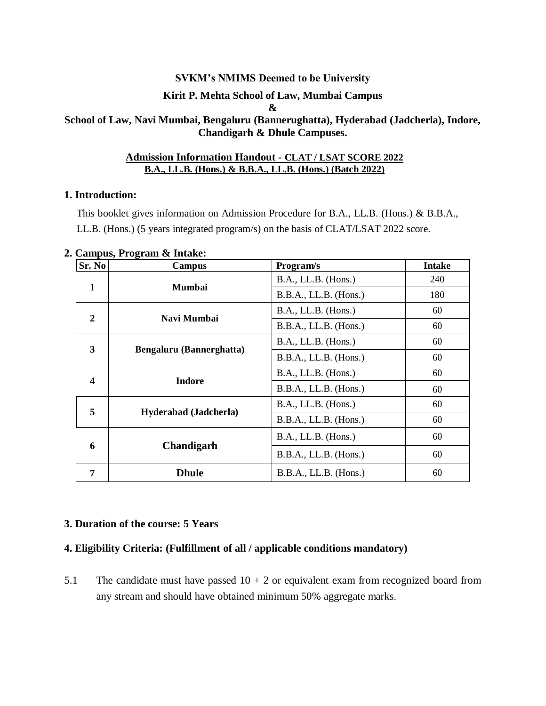#### **SVKM's NMIMS Deemed to be University**

### **Kirit P. Mehta School of Law, Mumbai Campus**

**&**

# **School of Law, Navi Mumbai, Bengaluru (Bannerughatta), Hyderabad (Jadcherla), Indore, Chandigarh & Dhule Campuses.**

#### **Admission Information Handout - CLAT / LSAT SCORE 2022 B.A., LL.B. (Hons.) & B.B.A., LL.B. (Hons.) (Batch 2022)**

#### **1. Introduction:**

This booklet gives information on Admission Procedure for B.A., LL.B. (Hons.) & B.B.A., LL.B. (Hons.) (5 years integrated program/s) on the basis of CLAT/LSAT 2022 score.

| Sr. No                  | Campus                       | Program/s               | <b>Intake</b> |
|-------------------------|------------------------------|-------------------------|---------------|
| 1                       | <b>Mumbai</b>                | B.A., LL.B. (Hons.)     | 240           |
|                         |                              | B.B.A., LL.B. (Hons.)   | 180           |
| 2                       | Navi Mumbai                  | B.A., LL.B. (Hons.)     | 60            |
|                         |                              | B.B.A., LL.B. (Hons.)   | 60            |
| 3                       | Bengaluru (Bannerghatta)     | B.A., LL.B. (Hons.)     | 60            |
|                         |                              | B.B.A., LL.B. (Hons.)   | 60            |
| $\overline{\mathbf{4}}$ | <b>Indore</b>                | B.A., LL.B. (Hons.)     | 60            |
|                         |                              | B.B.A., LL.B. (Hons.)   | 60            |
| 5                       | <b>Hyderabad</b> (Jadcherla) | B.A., LL.B. (Hons.)     | 60            |
|                         |                              | B.B.A., LL.B. (Hons.)   | 60            |
| 6                       | <b>Chandigarh</b>            | B.A., LL.B. (Hons.)     | 60            |
|                         |                              | B.B.A., LL.B. (Hons.)   | 60            |
| 7                       | <b>Dhule</b>                 | $B.B.A., LL.B.$ (Hons.) | 60            |

#### **2. Campus, Program & Intake:**

# **3. Duration of the course: 5 Years**

#### **4. Eligibility Criteria: (Fulfillment of all / applicable conditions mandatory)**

5.1 The candidate must have passed  $10 + 2$  or equivalent exam from recognized board from any stream and should have obtained minimum 50% aggregate marks.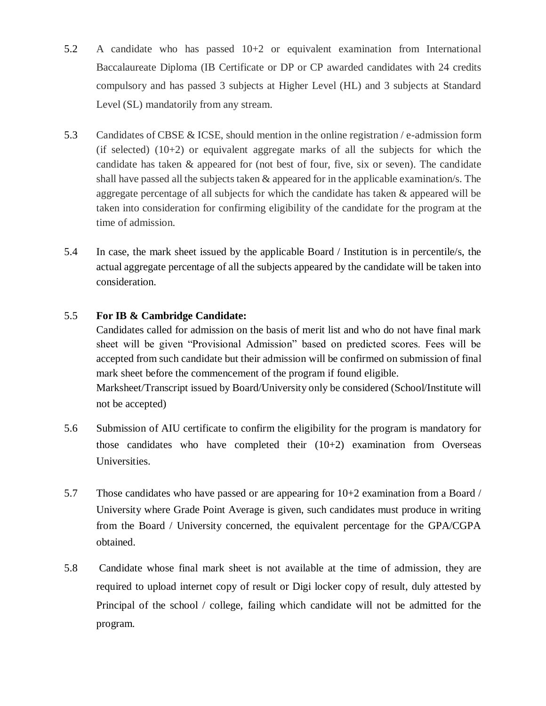- 5.2 A candidate who has passed 10+2 or equivalent examination from International Baccalaureate Diploma (IB Certificate or DP or CP awarded candidates with 24 credits compulsory and has passed 3 subjects at Higher Level (HL) and 3 subjects at Standard Level (SL) mandatorily from any stream.
- 5.3 Candidates of CBSE & ICSE, should mention in the online registration / e-admission form (if selected)  $(10+2)$  or equivalent aggregate marks of all the subjects for which the candidate has taken & appeared for (not best of four, five, six or seven). The candidate shall have passed all the subjects taken & appeared for in the applicable examination/s. The aggregate percentage of all subjects for which the candidate has taken & appeared will be taken into consideration for confirming eligibility of the candidate for the program at the time of admission.
- 5.4 In case, the mark sheet issued by the applicable Board / Institution is in percentile/s, the actual aggregate percentage of all the subjects appeared by the candidate will be taken into consideration.

# 5.5 **For IB & Cambridge Candidate:**

Candidates called for admission on the basis of merit list and who do not have final mark sheet will be given "Provisional Admission" based on predicted scores. Fees will be accepted from such candidate but their admission will be confirmed on submission of final mark sheet before the commencement of the program if found eligible. Marksheet/Transcript issued by Board/University only be considered (School/Institute will not be accepted)

- 5.6 Submission of AIU certificate to confirm the eligibility for the program is mandatory for those candidates who have completed their  $(10+2)$  examination from Overseas Universities.
- 5.7 Those candidates who have passed or are appearing for 10+2 examination from a Board / University where Grade Point Average is given, such candidates must produce in writing from the Board / University concerned, the equivalent percentage for the GPA/CGPA obtained.
- 5.8 Candidate whose final mark sheet is not available at the time of admission, they are required to upload internet copy of result or Digi locker copy of result, duly attested by Principal of the school / college, failing which candidate will not be admitted for the program.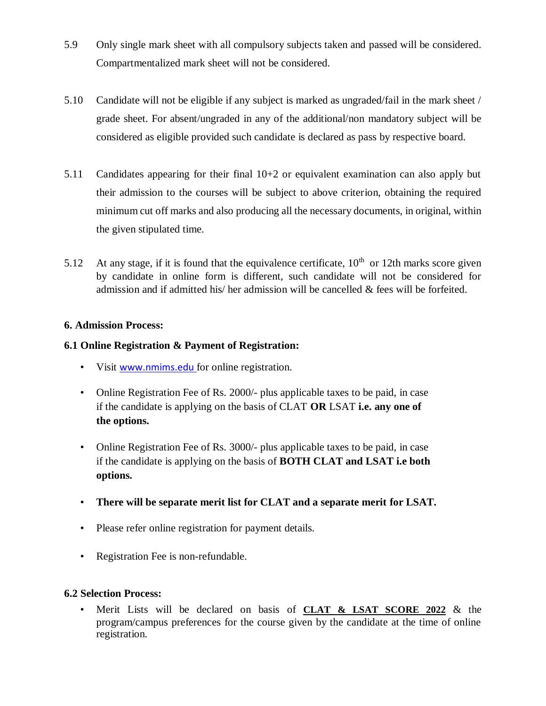- 5.9 Only single mark sheet with all compulsory subjects taken and passed will be considered. Compartmentalized mark sheet will not be considered.
- 5.10 Candidate will not be eligible if any subject is marked as ungraded/fail in the mark sheet / grade sheet. For absent/ungraded in any of the additional/non mandatory subject will be considered as eligible provided such candidate is declared as pass by respective board.
- 5.11 Candidates appearing for their final 10+2 or equivalent examination can also apply but their admission to the courses will be subject to above criterion, obtaining the required minimum cut off marks and also producing all the necessary documents, in original, within the given stipulated time.
- 5.12 At any stage, if it is found that the equivalence certificate,  $10<sup>th</sup>$  or 12th marks score given by candidate in online form is different, such candidate will not be considered for admission and if admitted his/ her admission will be cancelled & fees will be forfeited.

# **6. Admission Process:**

# **6.1 Online Registration & Payment of Registration:**

- Visit [www.nmims.edu](http://www.nmims.edu/) for online registration.
- Online Registration Fee of Rs. 2000/- plus applicable taxes to be paid, in case if the candidate is applying on the basis of CLAT **OR** LSAT **i.e. any one of the options.**
- Online Registration Fee of Rs. 3000/- plus applicable taxes to be paid, in case if the candidate is applying on the basis of **BOTH CLAT and LSAT i.e both options.**
- **There will be separate merit list for CLAT and a separate merit for LSAT.**
- Please refer online registration for payment details.
- Registration Fee is non-refundable.

#### **6.2 Selection Process:**

• Merit Lists will be declared on basis of **CLAT & LSAT SCORE 2022** & the program/campus preferences for the course given by the candidate at the time of online registration.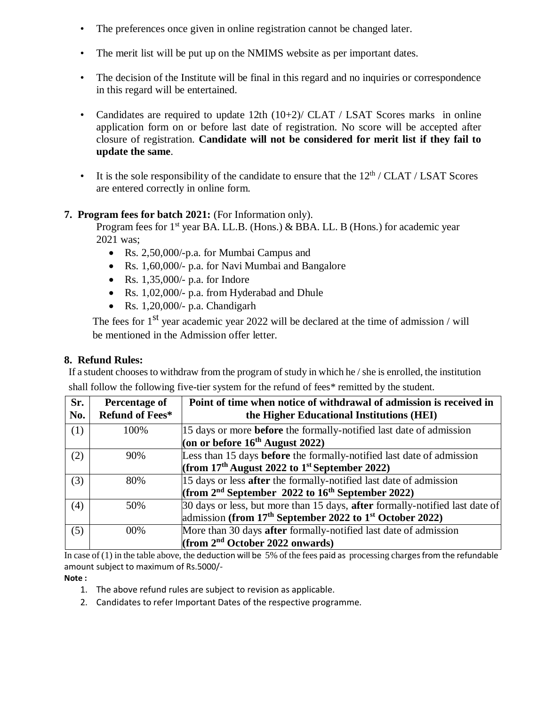- The preferences once given in online registration cannot be changed later.
- The merit list will be put up on the NMIMS website as per important dates.
- The decision of the Institute will be final in this regard and no inquiries or correspondence in this regard will be entertained.
- Candidates are required to update 12th (10+2)/ CLAT / LSAT Scores marks in online application form on or before last date of registration. No score will be accepted after closure of registration. **Candidate will not be considered for merit list if they fail to update the same**.
- It is the sole responsibility of the candidate to ensure that the  $12<sup>th</sup>$  / CLAT / LSAT Scores are entered correctly in online form.

# **7. Program fees for batch 2021:** (For Information only).

Program fees for  $1<sup>st</sup>$  year BA. LL.B. (Hons.) & BBA. LL. B (Hons.) for academic year 2021 was;

- Rs. 2,50,000/-p.a. for Mumbai Campus and
- Rs. 1,60,000/- p.a. for Navi Mumbai and Bangalore
- Rs.  $1,35,000/$  p.a. for Indore
- Rs. 1,02,000/- p.a. from Hyderabad and Dhule
- $\bullet$  Rs. 1,20,000/- p.a. Chandigarh

The fees for  $1<sup>st</sup>$  year academic year 2022 will be declared at the time of admission / will be mentioned in the Admission offer letter.

# **8. Refund Rules:**

If a student chooses to withdraw from the program of study in which he / she is enrolled, the institution shall follow the following five-tier system for the refund of fees\* remitted by the student.

| Sr.<br>No. | Percentage of<br>Refund of Fees* | Point of time when notice of withdrawal of admission is received in<br>the Higher Educational Institutions (HEI)                                                        |
|------------|----------------------------------|-------------------------------------------------------------------------------------------------------------------------------------------------------------------------|
| (1)        | 100%                             | 15 days or more <b>before</b> the formally-notified last date of admission<br>(on or before $16^{th}$ August 2022)                                                      |
| (2)        | 90%                              | Less than 15 days before the formally-notified last date of admission<br>(from $17th$ August 2022 to $1st$ September 2022)                                              |
| (3)        | 80%                              | 15 days or less <b>after</b> the formally-notified last date of admission<br>(from $2nd$ September 2022 to $16th$ September 2022)                                       |
| (4)        | 50%                              | 30 days or less, but more than 15 days, <b>after</b> formally-notified last date of<br>admission (from 17 <sup>th</sup> September 2022 to 1 <sup>st</sup> October 2022) |
| (5)        | $00\%$                           | More than 30 days after formally-notified last date of admission<br>(from $2nd$ October 2022 onwards)                                                                   |

In case of  $(1)$  in the table above, the deduction will be 5% of the fees paid as processing charges from the refundable amount subject to maximum of Rs.5000/-

#### **Note :**

- 1. The above refund rules are subject to revision as applicable.
- 2. Candidates to refer Important Dates of the respective programme.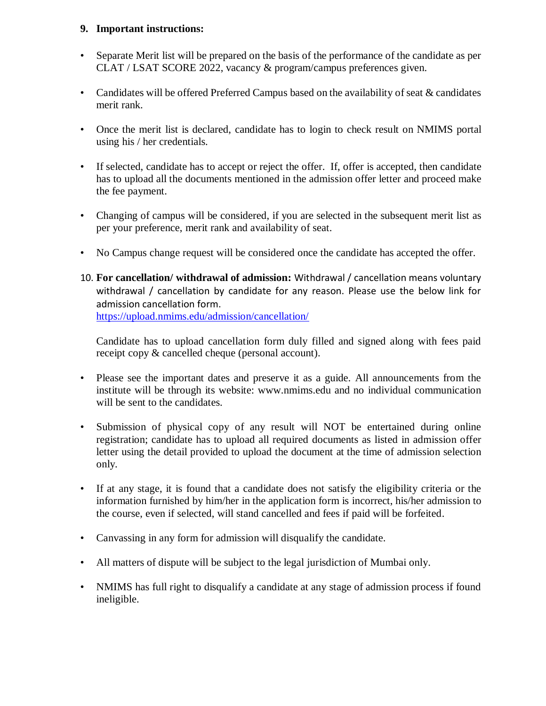### **9. Important instructions:**

- Separate Merit list will be prepared on the basis of the performance of the candidate as per CLAT / LSAT SCORE 2022, vacancy & program/campus preferences given.
- Candidates will be offered Preferred Campus based on the availability of seat & candidates merit rank.
- Once the merit list is declared, candidate has to login to check result on NMIMS portal using his / her credentials.
- If selected, candidate has to accept or reject the offer. If, offer is accepted, then candidate has to upload all the documents mentioned in the admission offer letter and proceed make the fee payment.
- Changing of campus will be considered, if you are selected in the subsequent merit list as per your preference, merit rank and availability of seat.
- No Campus change request will be considered once the candidate has accepted the offer.
- 10. **For cancellation/ withdrawal of admission:** Withdrawal / cancellation means voluntary withdrawal / cancellation by candidate for any reason. Please use the below link for admission cancellation form. <https://upload.nmims.edu/admission/cancellation/>

Candidate has to upload cancellation form duly filled and signed along with fees paid receipt copy & cancelled cheque (personal account).

- Please see the important dates and preserve it as a guide. All announcements from the institute will be through its website: www.nmims.edu and no individual communication will be sent to the candidates.
- Submission of physical copy of any result will NOT be entertained during online registration; candidate has to upload all required documents as listed in admission offer letter using the detail provided to upload the document at the time of admission selection only.
- If at any stage, it is found that a candidate does not satisfy the eligibility criteria or the information furnished by him/her in the application form is incorrect, his/her admission to the course, even if selected, will stand cancelled and fees if paid will be forfeited.
- Canvassing in any form for admission will disqualify the candidate.
- All matters of dispute will be subject to the legal jurisdiction of Mumbai only.
- NMIMS has full right to disqualify a candidate at any stage of admission process if found ineligible.